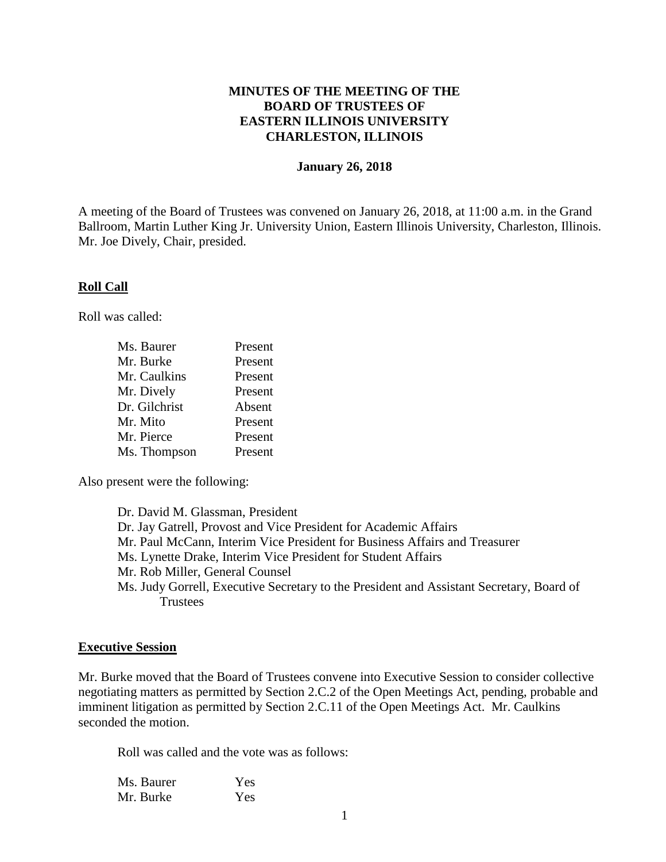## **MINUTES OF THE MEETING OF THE BOARD OF TRUSTEES OF EASTERN ILLINOIS UNIVERSITY CHARLESTON, ILLINOIS**

#### **January 26, 2018**

A meeting of the Board of Trustees was convened on January 26, 2018, at 11:00 a.m. in the Grand Ballroom, Martin Luther King Jr. University Union, Eastern Illinois University, Charleston, Illinois. Mr. Joe Dively, Chair, presided.

#### **Roll Call**

Roll was called:

| Ms. Baurer    | Present |
|---------------|---------|
| Mr. Burke     | Present |
| Mr. Caulkins  | Present |
| Mr. Dively    | Present |
| Dr. Gilchrist | Absent  |
| Mr. Mito      | Present |
| Mr. Pierce    | Present |
| Ms. Thompson  | Present |

Also present were the following:

Dr. David M. Glassman, President Dr. Jay Gatrell, Provost and Vice President for Academic Affairs Mr. Paul McCann, Interim Vice President for Business Affairs and Treasurer Ms. Lynette Drake, Interim Vice President for Student Affairs Mr. Rob Miller, General Counsel Ms. Judy Gorrell, Executive Secretary to the President and Assistant Secretary, Board of **Trustees** 

#### **Executive Session**

Mr. Burke moved that the Board of Trustees convene into Executive Session to consider collective negotiating matters as permitted by Section 2.C.2 of the Open Meetings Act, pending, probable and imminent litigation as permitted by Section 2.C.11 of the Open Meetings Act. Mr. Caulkins seconded the motion.

Roll was called and the vote was as follows:

| Ms. Baurer | Yes |
|------------|-----|
| Mr. Burke  | Yes |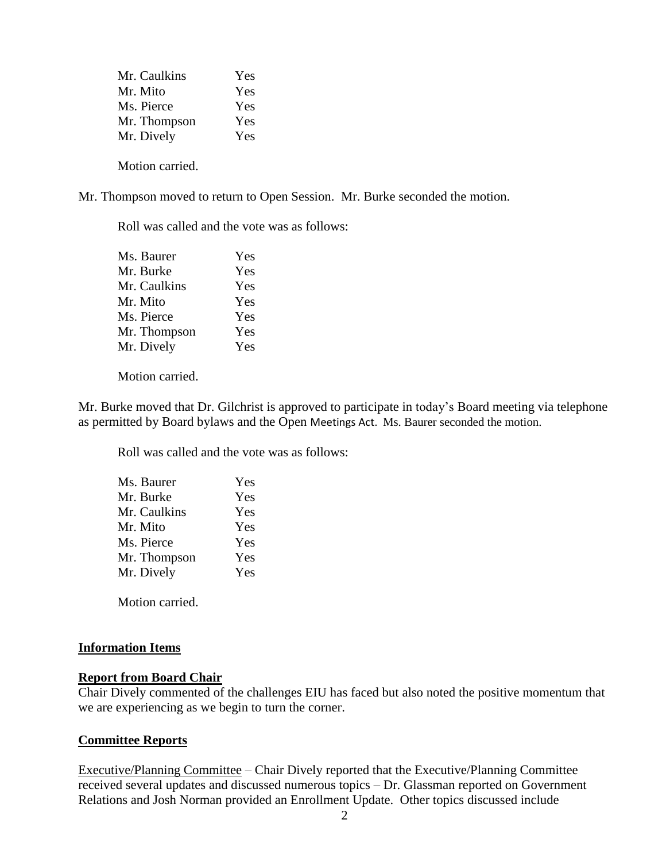| Mr. Caulkins | Yes |
|--------------|-----|
| Mr. Mito     | Yes |
| Ms. Pierce   | Yes |
| Mr. Thompson | Yes |
| Mr. Dively   | Yes |
|              |     |

Motion carried.

Mr. Thompson moved to return to Open Session. Mr. Burke seconded the motion.

Roll was called and the vote was as follows:

| Ms. Baurer   | Yes |
|--------------|-----|
| Mr. Burke    | Yes |
| Mr. Caulkins | Yes |
| Mr. Mito     | Yes |
| Ms. Pierce   | Yes |
| Mr. Thompson | Yes |
| Mr. Dively   | Yes |
|              |     |

Motion carried.

Mr. Burke moved that Dr. Gilchrist is approved to participate in today's Board meeting via telephone as permitted by Board bylaws and the Open Meetings Act. Ms. Baurer seconded the motion.

Roll was called and the vote was as follows:

| Ms. Baurer   | Yes |
|--------------|-----|
| Mr. Burke    | Yes |
| Mr. Caulkins | Yes |
| Mr. Mito     | Yes |
| Ms. Pierce   | Yes |
| Mr. Thompson | Yes |
| Mr. Dively   | Yes |
|              |     |

Motion carried.

## **Information Items**

## **Report from Board Chair**

Chair Dively commented of the challenges EIU has faced but also noted the positive momentum that we are experiencing as we begin to turn the corner.

## **Committee Reports**

Executive/Planning Committee – Chair Dively reported that the Executive/Planning Committee received several updates and discussed numerous topics – Dr. Glassman reported on Government Relations and Josh Norman provided an Enrollment Update. Other topics discussed include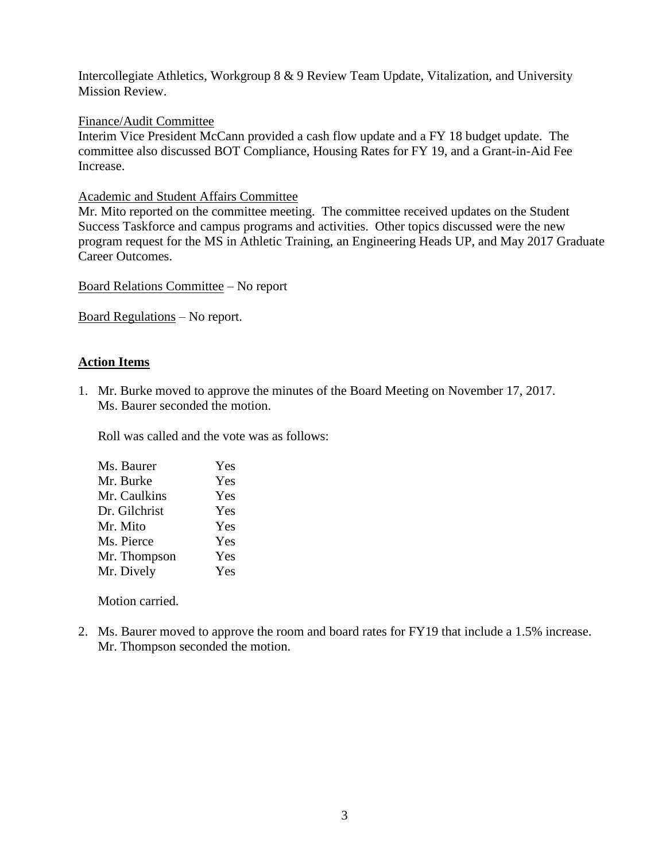Intercollegiate Athletics, Workgroup 8 & 9 Review Team Update, Vitalization, and University Mission Review.

### Finance/Audit Committee

Interim Vice President McCann provided a cash flow update and a FY 18 budget update. The committee also discussed BOT Compliance, Housing Rates for FY 19, and a Grant-in-Aid Fee Increase.

### Academic and Student Affairs Committee

Mr. Mito reported on the committee meeting. The committee received updates on the Student Success Taskforce and campus programs and activities. Other topics discussed were the new program request for the MS in Athletic Training, an Engineering Heads UP, and May 2017 Graduate Career Outcomes.

Board Relations Committee – No report

Board Regulations – No report.

## **Action Items**

1. Mr. Burke moved to approve the minutes of the Board Meeting on November 17, 2017. Ms. Baurer seconded the motion.

Roll was called and the vote was as follows:

| Ms. Baurer    | Yes |
|---------------|-----|
| Mr. Burke     | Yes |
| Mr. Caulkins  | Yes |
| Dr. Gilchrist | Yes |
| Mr. Mito      | Yes |
| Ms. Pierce    | Yes |
| Mr. Thompson  | Yes |
| Mr. Dively    | Yes |

Motion carried.

2. Ms. Baurer moved to approve the room and board rates for FY19 that include a 1.5% increase. Mr. Thompson seconded the motion.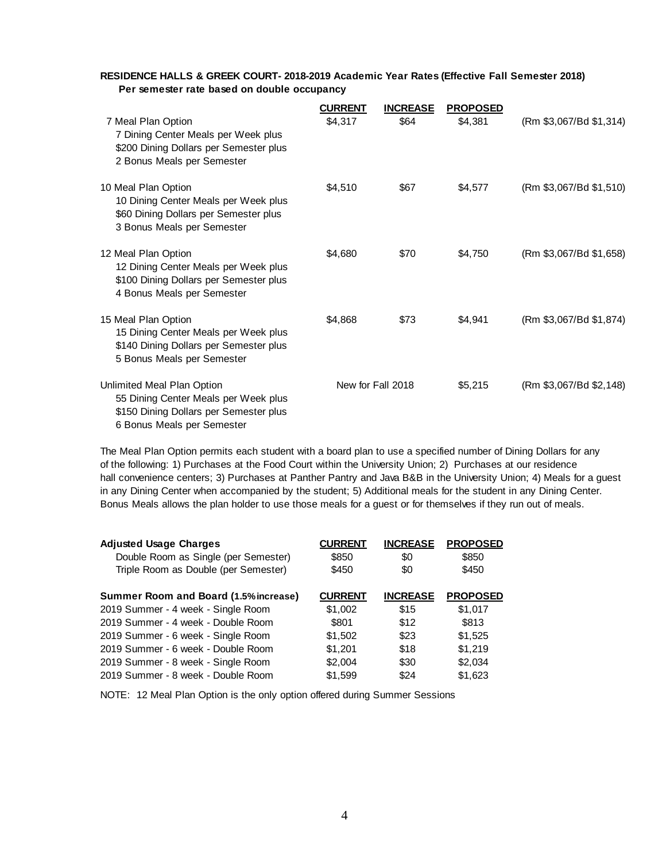#### **RESIDENCE HALLS & GREEK COURT- 2018-2019 Academic Year Rates (Effective Fall Semester 2018) Per semester rate based on double occupancy**

|                                                                                                                                            | <b>CURRENT</b> | <b>INCREASE</b>   | <b>PROPOSED</b> |                         |
|--------------------------------------------------------------------------------------------------------------------------------------------|----------------|-------------------|-----------------|-------------------------|
| 7 Meal Plan Option<br>7 Dining Center Meals per Week plus<br>\$200 Dining Dollars per Semester plus<br>2 Bonus Meals per Semester          | \$4,317        | \$64              | \$4,381         | (Rm \$3,067/Bd \$1,314) |
| 10 Meal Plan Option<br>10 Dining Center Meals per Week plus<br>\$60 Dining Dollars per Semester plus<br>3 Bonus Meals per Semester         | \$4,510        | \$67              | \$4,577         | (Rm \$3,067/Bd \$1,510) |
| 12 Meal Plan Option<br>12 Dining Center Meals per Week plus<br>\$100 Dining Dollars per Semester plus<br>4 Bonus Meals per Semester        | \$4,680        | \$70              | \$4,750         | (Rm \$3,067/Bd \$1,658) |
| 15 Meal Plan Option<br>15 Dining Center Meals per Week plus<br>\$140 Dining Dollars per Semester plus<br>5 Bonus Meals per Semester        | \$4,868        | \$73              | \$4,941         | (Rm \$3,067/Bd \$1,874) |
| Unlimited Meal Plan Option<br>55 Dining Center Meals per Week plus<br>\$150 Dining Dollars per Semester plus<br>6 Bonus Meals per Semester |                | New for Fall 2018 | \$5,215         | (Rm \$3,067/Bd \$2,148) |

The Meal Plan Option permits each student with a board plan to use a specified number of Dining Dollars for any of the following: 1) Purchases at the Food Court within the University Union; 2) Purchases at our residence hall convenience centers; 3) Purchases at Panther Pantry and Java B&B in the University Union; 4) Meals for a guest in any Dining Center when accompanied by the student; 5) Additional meals for the student in any Dining Center. Bonus Meals allows the plan holder to use those meals for a guest or for themselves if they run out of meals.

| <b>Adjusted Usage Charges</b>                | <b>CURRENT</b> | <b>INCREASE</b> | <b>PROPOSED</b> |
|----------------------------------------------|----------------|-----------------|-----------------|
| Double Room as Single (per Semester)         | \$850          | \$0             | \$850           |
| Triple Room as Double (per Semester)         | \$450          | \$0             | \$450           |
| <b>Summer Room and Board (1.5% increase)</b> | <b>CURRENT</b> | <b>INCREASE</b> | <b>PROPOSED</b> |
| 2019 Summer - 4 week - Single Room           | \$1,002        | \$15            | \$1,017         |
| 2019 Summer - 4 week - Double Room           | \$801          | \$12            | \$813           |
| 2019 Summer - 6 week - Single Room           | \$1,502        | \$23            | \$1,525         |
| 2019 Summer - 6 week - Double Room           | \$1,201        | \$18            | \$1,219         |
| 2019 Summer - 8 week - Single Room           | \$2,004        | \$30            | \$2,034         |
| 2019 Summer - 8 week - Double Room           | \$1.599        | \$24            | \$1,623         |

NOTE: 12 Meal Plan Option is the only option offered during Summer Sessions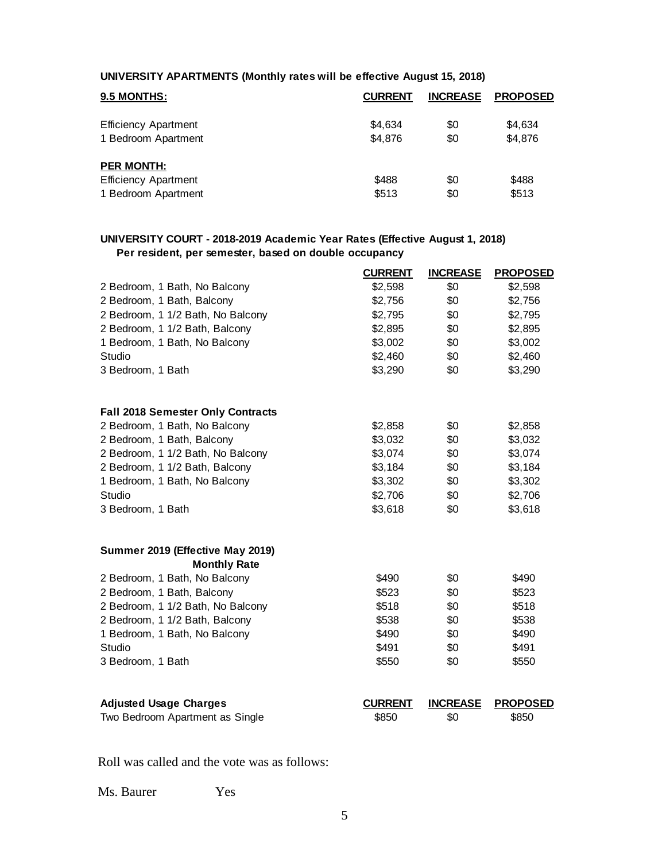#### **UNIVERSITY APARTMENTS (Monthly rates will be effective August 15, 2018)**

| 9.5 MONTHS:                 | <b>CURRENT</b> | <b>INCREASE</b> | <b>PROPOSED</b> |
|-----------------------------|----------------|-----------------|-----------------|
| <b>Efficiency Apartment</b> | \$4.634        | \$0             | \$4,634         |
| 1 Bedroom Apartment         | \$4.876        | \$0             | \$4,876         |
| <b>PER MONTH:</b>           |                |                 |                 |
| <b>Efficiency Apartment</b> | \$488          | \$0             | \$488           |
| 1 Bedroom Apartment         | \$513          | \$0             | \$513           |

#### **UNIVERSITY COURT - 2018-2019 Academic Year Rates (Effective August 1, 2018) Per resident, per semester, based on double occupancy**

|                                          | <b>CURRENT</b> | <b>INCREASE</b> | <b>PROPOSED</b> |
|------------------------------------------|----------------|-----------------|-----------------|
| 2 Bedroom, 1 Bath, No Balcony            | \$2,598        | \$0             | \$2,598         |
| 2 Bedroom, 1 Bath, Balcony               | \$2,756        | \$0             | \$2,756         |
| 2 Bedroom, 1 1/2 Bath, No Balcony        | \$2,795        | \$0             | \$2,795         |
| 2 Bedroom, 1 1/2 Bath, Balcony           | \$2,895        | \$0             | \$2,895         |
| 1 Bedroom, 1 Bath, No Balcony            | \$3,002        | \$0             | \$3,002         |
| Studio                                   | \$2,460        | \$0             | \$2,460         |
| 3 Bedroom, 1 Bath                        | \$3,290        | \$0             | \$3,290         |
| <b>Fall 2018 Semester Only Contracts</b> |                |                 |                 |
| 2 Bedroom, 1 Bath, No Balcony            | \$2,858        | \$0             | \$2,858         |
| 2 Bedroom, 1 Bath, Balcony               | \$3,032        | \$0             | \$3,032         |
| 2 Bedroom, 1 1/2 Bath, No Balcony        | \$3,074        | \$0             | \$3,074         |
| 2 Bedroom, 1 1/2 Bath, Balcony           | \$3,184        | \$0             | \$3,184         |
| 1 Bedroom, 1 Bath, No Balcony            | \$3,302        | \$0             | \$3,302         |
| Studio                                   | \$2,706        | \$0             | \$2,706         |
| 3 Bedroom, 1 Bath                        | \$3,618        | \$0             | \$3,618         |
| Summer 2019 (Effective May 2019)         |                |                 |                 |
| <b>Monthly Rate</b>                      |                |                 |                 |
| 2 Bedroom, 1 Bath, No Balcony            | \$490          | \$0             | \$490           |
| 2 Bedroom, 1 Bath, Balcony               | \$523          | \$0             | \$523           |
| 2 Bedroom, 1 1/2 Bath, No Balcony        | \$518          | \$0             | \$518           |
| 2 Bedroom, 1 1/2 Bath, Balcony           | \$538          | \$0             | \$538           |
| 1 Bedroom, 1 Bath, No Balcony            | \$490          | \$0             | \$490           |
| Studio                                   | \$491          | \$0             | \$491           |
| 3 Bedroom, 1 Bath                        | \$550          | \$0             | \$550           |
| <b>Adjusted Usage Charges</b>            | <b>CURRENT</b> | <b>INCREASE</b> | <b>PROPOSED</b> |
| Two Bedroom Apartment as Single          | \$850          | \$0             | \$850           |
|                                          |                |                 |                 |

Roll was called and the vote was as follows:

Ms. Baurer Yes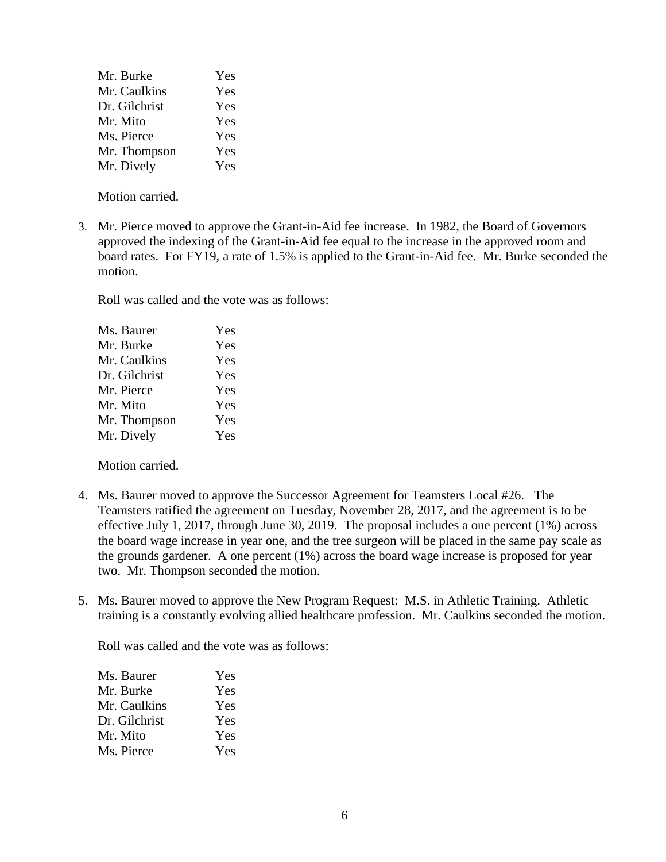| Yes |
|-----|
| Yes |
| Yes |
| Yes |
| Yes |
| Yes |
| Yes |
|     |

Motion carried.

3. Mr. Pierce moved to approve the Grant-in-Aid fee increase. In 1982, the Board of Governors approved the indexing of the Grant-in-Aid fee equal to the increase in the approved room and board rates. For FY19, a rate of 1.5% is applied to the Grant-in-Aid fee. Mr. Burke seconded the motion.

Roll was called and the vote was as follows:

| Ms. Baurer    | Yes |
|---------------|-----|
| Mr. Burke     | Yes |
| Mr. Caulkins  | Yes |
| Dr. Gilchrist | Yes |
| Mr. Pierce    | Yes |
| Mr. Mito      | Yes |
| Mr. Thompson  | Yes |
| Mr. Dively    | Yes |
|               |     |

Motion carried.

- 4. Ms. Baurer moved to approve the Successor Agreement for Teamsters Local #26. The Teamsters ratified the agreement on Tuesday, November 28, 2017, and the agreement is to be effective July 1, 2017, through June 30, 2019. The proposal includes a one percent (1%) across the board wage increase in year one, and the tree surgeon will be placed in the same pay scale as the grounds gardener. A one percent (1%) across the board wage increase is proposed for year two. Mr. Thompson seconded the motion.
- 5. Ms. Baurer moved to approve the New Program Request: M.S. in Athletic Training. Athletic training is a constantly evolving allied healthcare profession. Mr. Caulkins seconded the motion.

Roll was called and the vote was as follows:

| Ms. Baurer    | Yes |
|---------------|-----|
| Mr. Burke     | Yes |
| Mr. Caulkins  | Yes |
| Dr. Gilchrist | Yes |
| Mr. Mito      | Yes |
| Ms. Pierce    | Yes |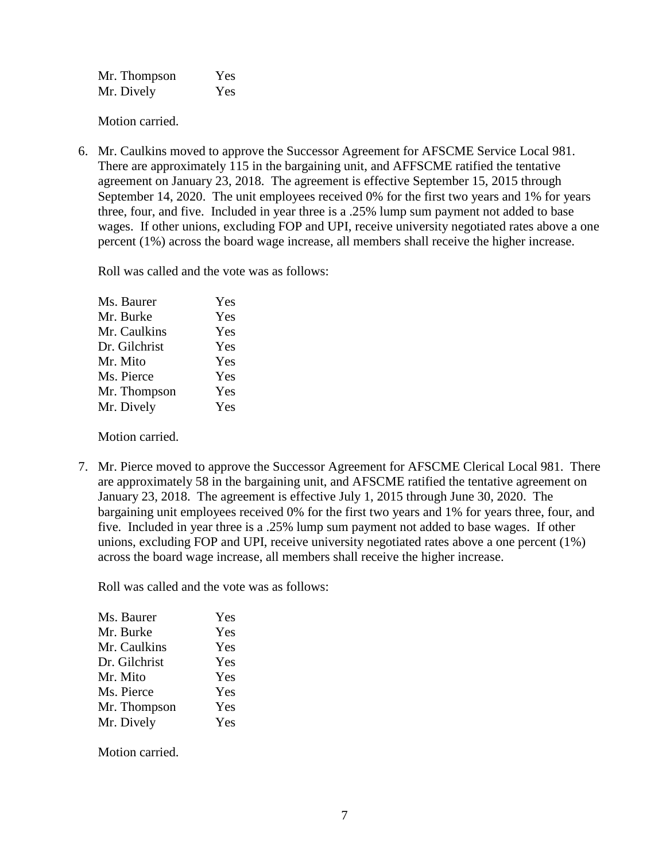| Mr. Thompson | Yes |
|--------------|-----|
| Mr. Dively   | Yes |

Motion carried.

6. Mr. Caulkins moved to approve the Successor Agreement for AFSCME Service Local 981. There are approximately 115 in the bargaining unit, and AFFSCME ratified the tentative agreement on January 23, 2018. The agreement is effective September 15, 2015 through September 14, 2020. The unit employees received 0% for the first two years and 1% for years three, four, and five. Included in year three is a .25% lump sum payment not added to base wages. If other unions, excluding FOP and UPI, receive university negotiated rates above a one percent (1%) across the board wage increase, all members shall receive the higher increase.

Roll was called and the vote was as follows:

| Ms. Baurer    | Yes |
|---------------|-----|
| Mr. Burke     | Yes |
| Mr. Caulkins  | Yes |
| Dr. Gilchrist | Yes |
| Mr. Mito      | Yes |
| Ms. Pierce    | Yes |
| Mr. Thompson  | Yes |
| Mr. Dively    | Yes |
|               |     |

Motion carried.

7. Mr. Pierce moved to approve the Successor Agreement for AFSCME Clerical Local 981. There are approximately 58 in the bargaining unit, and AFSCME ratified the tentative agreement on January 23, 2018. The agreement is effective July 1, 2015 through June 30, 2020. The bargaining unit employees received 0% for the first two years and 1% for years three, four, and five. Included in year three is a .25% lump sum payment not added to base wages. If other unions, excluding FOP and UPI, receive university negotiated rates above a one percent (1%) across the board wage increase, all members shall receive the higher increase.

Roll was called and the vote was as follows:

| Ms. Baurer    | Yes |
|---------------|-----|
| Mr. Burke     | Yes |
| Mr. Caulkins  | Yes |
| Dr. Gilchrist | Yes |
| Mr. Mito      | Yes |
| Ms. Pierce    | Yes |
| Mr. Thompson  | Yes |
| Mr. Dively    | Yes |

Motion carried.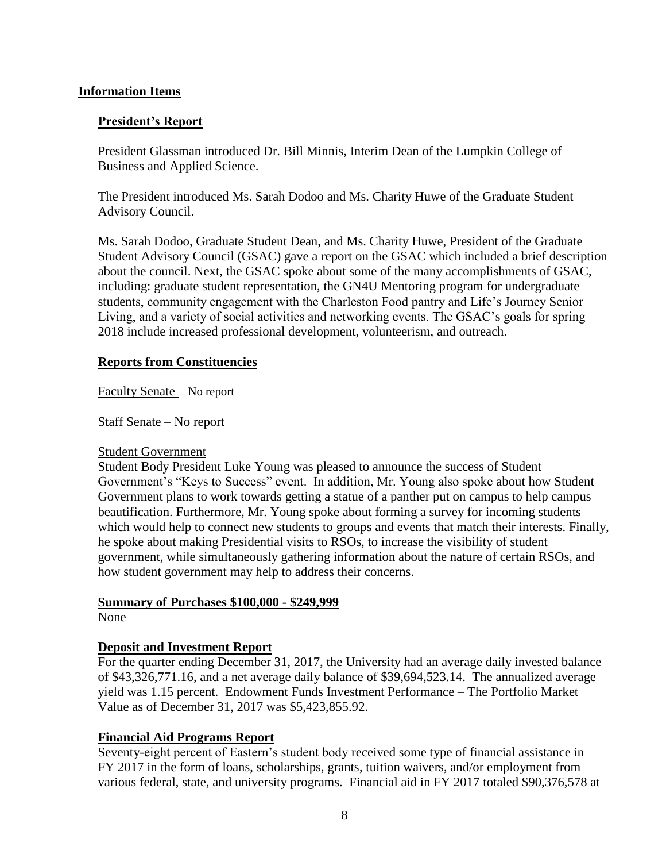## **Information Items**

## **President's Report**

President Glassman introduced Dr. Bill Minnis, Interim Dean of the Lumpkin College of Business and Applied Science.

The President introduced Ms. Sarah Dodoo and Ms. Charity Huwe of the Graduate Student Advisory Council.

Ms. Sarah Dodoo, Graduate Student Dean, and Ms. Charity Huwe, President of the Graduate Student Advisory Council (GSAC) gave a report on the GSAC which included a brief description about the council. Next, the GSAC spoke about some of the many accomplishments of GSAC, including: graduate student representation, the GN4U Mentoring program for undergraduate students, community engagement with the Charleston Food pantry and Life's Journey Senior Living, and a variety of social activities and networking events. The GSAC's goals for spring 2018 include increased professional development, volunteerism, and outreach.

## **Reports from Constituencies**

Faculty Senate – No report

Staff Senate – No report

## Student Government

Student Body President Luke Young was pleased to announce the success of Student Government's "Keys to Success" event. In addition, Mr. Young also spoke about how Student Government plans to work towards getting a statue of a panther put on campus to help campus beautification. Furthermore, Mr. Young spoke about forming a survey for incoming students which would help to connect new students to groups and events that match their interests. Finally, he spoke about making Presidential visits to RSOs, to increase the visibility of student government, while simultaneously gathering information about the nature of certain RSOs, and how student government may help to address their concerns.

## **Summary of Purchases \$100,000 - \$249,999**

None

## **Deposit and Investment Report**

For the quarter ending December 31, 2017, the University had an average daily invested balance of \$43,326,771.16, and a net average daily balance of \$39,694,523.14. The annualized average yield was 1.15 percent. Endowment Funds Investment Performance – The Portfolio Market Value as of December 31, 2017 was \$5,423,855.92.

## **Financial Aid Programs Report**

Seventy-eight percent of Eastern's student body received some type of financial assistance in FY 2017 in the form of loans, scholarships, grants, tuition waivers, and/or employment from various federal, state, and university programs. Financial aid in FY 2017 totaled \$90,376,578 at